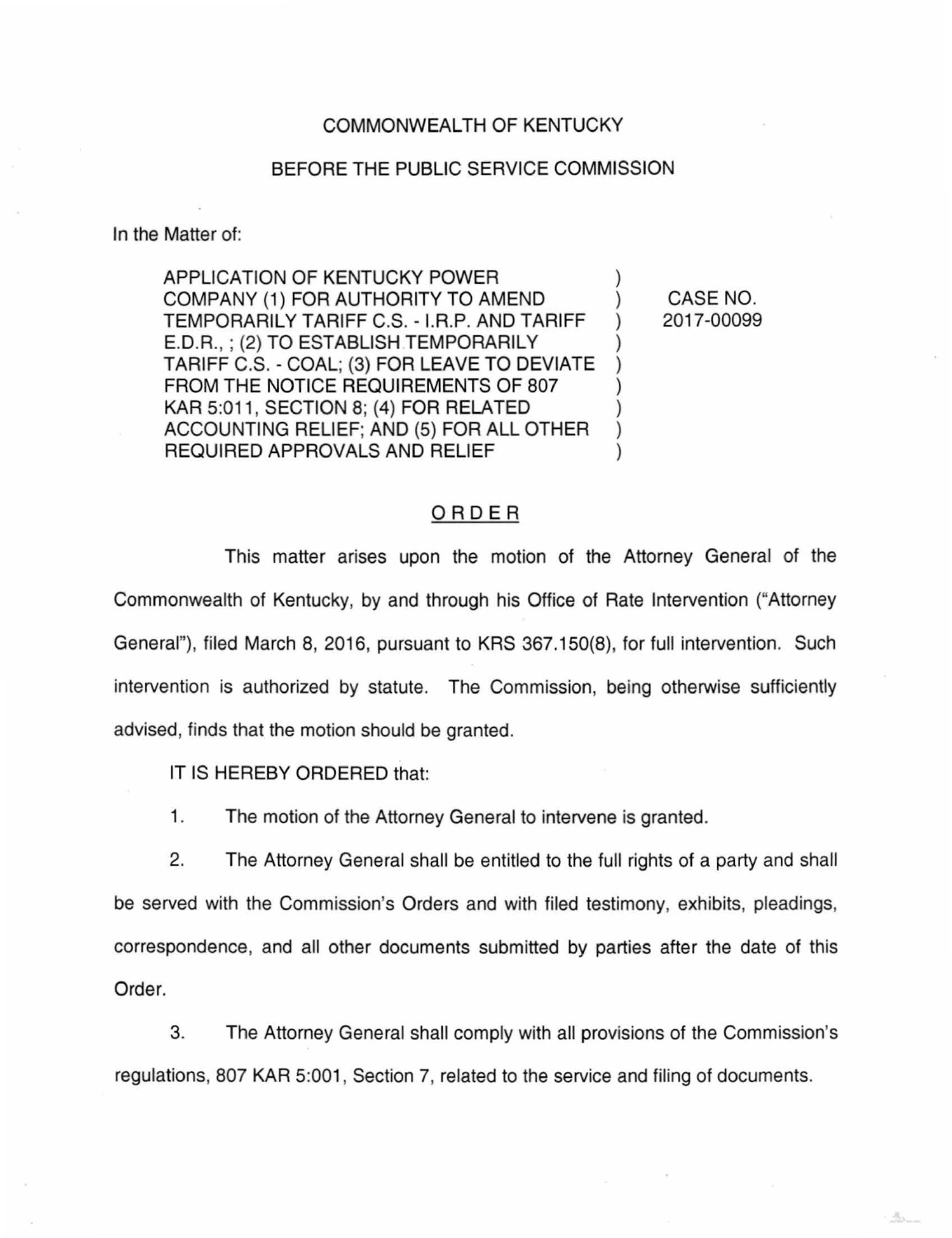## COMMONWEALTH OF KENTUCKY

## BEFORE THE PUBLIC SERVICE COMMISSION

In the Matter of:

APPLICATION OF KENTUCKY POWER COMPANY (1) FOR AUTHORITY TO AMEND ) TEMPORARILY TARIFF C.S. - I.R.P. AND TARIFF ) E.D.R.,; (2) TO ESTABLISH TEMPORARILY ) TARIFF C.S.- COAL; (3) FOR LEAVE TO DEVIATE ) FROM THE NOTICE REQUIREMENTS OF 807 KAR 5:011, SECTION 8; (4) FOR RELATED ACCOUNTING RELIEF; AND (5) FOR ALL OTHER ) REQUIRED APPROVALS AND RELIEF

CASE NO. 2017-00099

点。

## ORDER

This matter arises upon the motion of the Attorney General of the Commonwealth of Kentucky, by and through his Office of Rate Intervention ("Attorney General"), filed March 8, 2016, pursuant to KRS 367.150(8), for full intervention. Such intervention is authorized by statute. The Commission, being otherwise sufficiently advised, finds that the motion should be granted.

IT IS HEREBY ORDERED that:

1. The motion of the Attorney General to intervene is granted.

2. The Attorney General shall be entitled to the full rights of a party and shall be served with the Commission's Orders and with filed testimony, exhibits, pleadings, correspondence, and all other documents submitted by parties after the date of this Order.

3. The Attorney General shall comply with all provisions of the Commission's regulations, 807 KAR 5:001, Section 7, related to the service and filing of documents.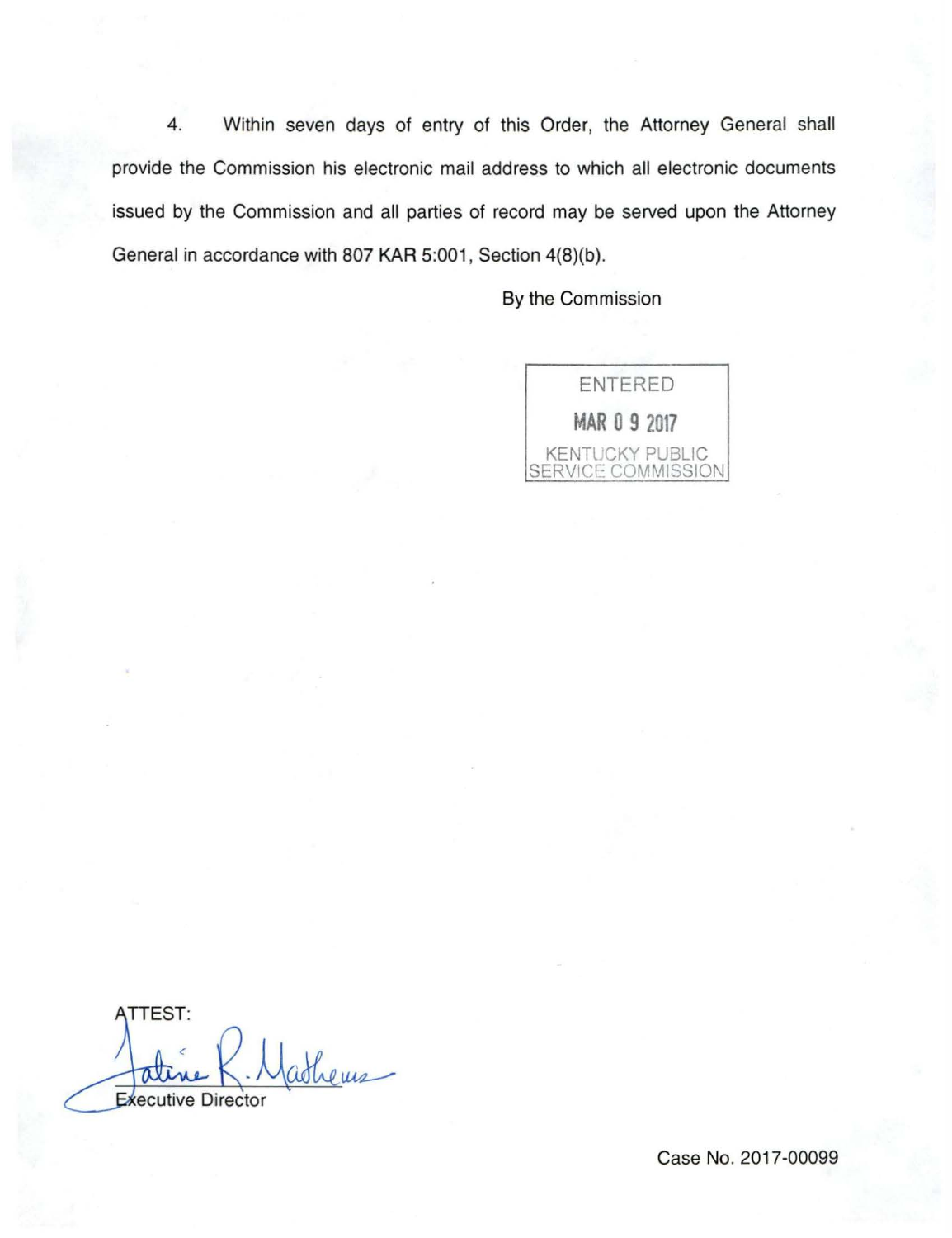4. Within seven days of entry of this Order, the Attorney General shall provide the Commission his electronic mail address to which all electronic documents issued by the Commission and all parties of record may be served upon the Attorney General in accordance with 807 KAR 5:001, Section 4(8)(b).

By the Commission



**TTEST:** athems Executive Director

Case No. 2017-00099